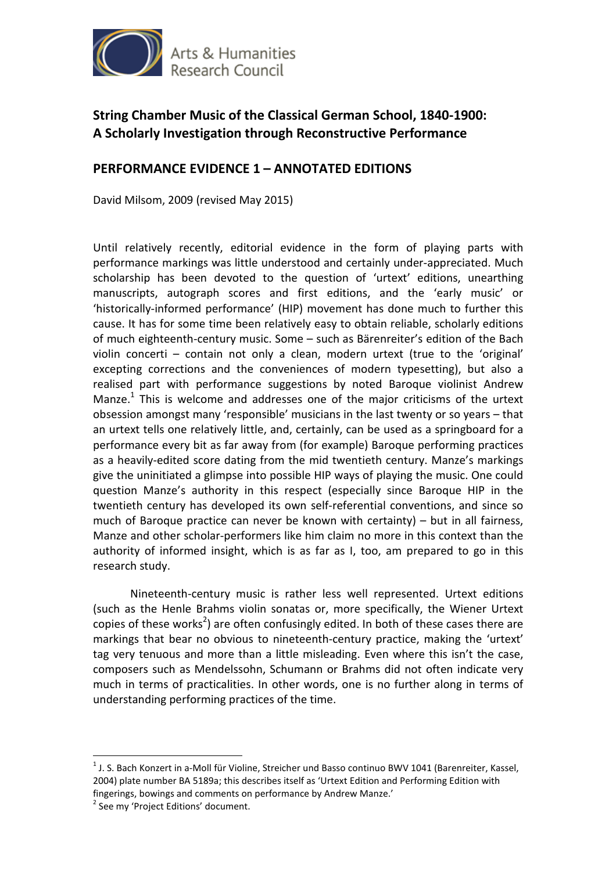

# **String Chamber Music of the Classical German School, 1840-1900: A Scholarly Investigation through Reconstructive Performance**

# **PERFORMANCE EVIDENCE 1 – ANNOTATED EDITIONS**

David Milsom, 2009 (revised May 2015)

Until relatively recently, editorial evidence in the form of playing parts with performance markings was little understood and certainly under-appreciated. Much scholarship has been devoted to the question of 'urtext' editions, unearthing manuscripts, autograph scores and first editions, and the 'early music' or 'historically-informed performance' (HIP) movement has done much to further this cause. It has for some time been relatively easy to obtain reliable, scholarly editions of much eighteenth-century music. Some – such as Bärenreiter's edition of the Bach violin concerti – contain not only a clean, modern urtext (true to the 'original' excepting corrections and the conveniences of modern typesetting), but also a realised part with performance suggestions by noted Baroque violinist Andrew Manze.<sup>1</sup> This is welcome and addresses one of the major criticisms of the urtext obsession amongst many 'responsible' musicians in the last twenty or so years – that an urtext tells one relatively little, and, certainly, can be used as a springboard for a performance every bit as far away from (for example) Baroque performing practices as a heavily-edited score dating from the mid twentieth century. Manze's markings give the uninitiated a glimpse into possible HIP ways of playing the music. One could question Manze's authority in this respect (especially since Baroque HIP in the twentieth century has developed its own self-referential conventions, and since so much of Baroque practice can never be known with certainty)  $-$  but in all fairness, Manze and other scholar-performers like him claim no more in this context than the authority of informed insight, which is as far as I, too, am prepared to go in this research study.

 Nineteenth-century music is rather less well represented. Urtext editions (such as the Henle Brahms violin sonatas or, more specifically, the Wiener Urtext copies of these works<sup>2</sup>) are often confusingly edited. In both of these cases there are markings that bear no obvious to nineteenth-century practice, making the 'urtext' tag very tenuous and more than a little misleading. Even where this isn't the case, composers such as Mendelssohn, Schumann or Brahms did not often indicate very much in terms of practicalities. In other words, one is no further along in terms of understanding performing practices of the time.

 $\overline{a}$ 

<sup>&</sup>lt;sup>1</sup> J. S. Bach Konzert in a-Moll für Violine, Streicher und Basso continuo BWV 1041 (Barenreiter, Kassel, 2004) plate number BA 5189a; this describes itself as 'Urtext Edition and Performing Edition with fingerings, bowings and comments on performance by Andrew Manze.'

<sup>&</sup>lt;sup>2</sup> See my 'Project Editions' document.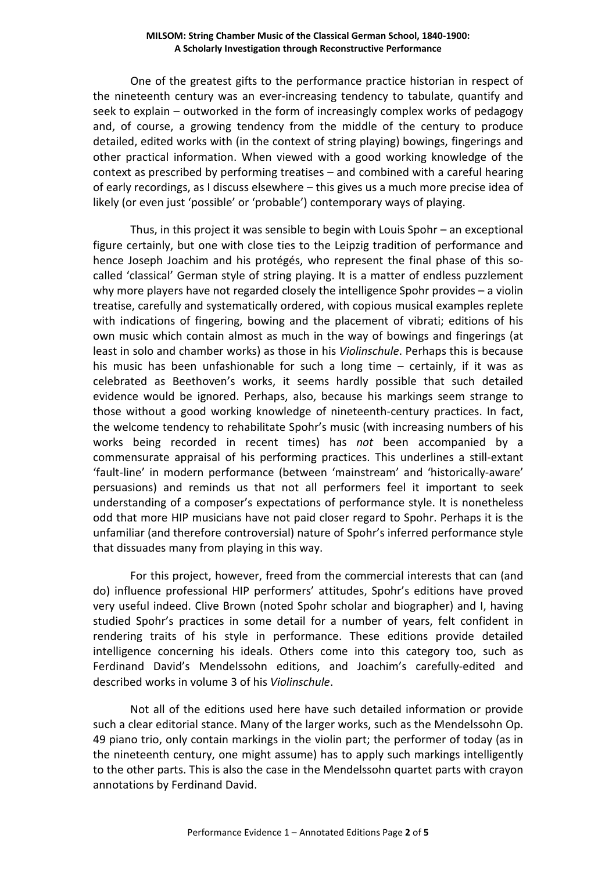### **MILSOM: String Chamber Music of the Classical German School, 1840-1900: A Scholarly Investigation through Reconstructive Performance**

 One of the greatest gifts to the performance practice historian in respect of the nineteenth century was an ever-increasing tendency to tabulate, quantify and seek to explain – outworked in the form of increasingly complex works of pedagogy and, of course, a growing tendency from the middle of the century to produce detailed, edited works with (in the context of string playing) bowings, fingerings and other practical information. When viewed with a good working knowledge of the context as prescribed by performing treatises – and combined with a careful hearing of early recordings, as I discuss elsewhere – this gives us a much more precise idea of likely (or even just 'possible' or 'probable') contemporary ways of playing.

 Thus, in this project it was sensible to begin with Louis Spohr – an exceptional figure certainly, but one with close ties to the Leipzig tradition of performance and hence Joseph Joachim and his protégés, who represent the final phase of this socalled 'classical' German style of string playing. It is a matter of endless puzzlement why more players have not regarded closely the intelligence Spohr provides – a violin treatise, carefully and systematically ordered, with copious musical examples replete with indications of fingering, bowing and the placement of vibrati; editions of his own music which contain almost as much in the way of bowings and fingerings (at least in solo and chamber works) as those in his *Violinschule*. Perhaps this is because his music has been unfashionable for such a long time – certainly, if it was as celebrated as Beethoven's works, it seems hardly possible that such detailed evidence would be ignored. Perhaps, also, because his markings seem strange to those without a good working knowledge of nineteenth-century practices. In fact, the welcome tendency to rehabilitate Spohr's music (with increasing numbers of his works being recorded in recent times) has *not* been accompanied by a commensurate appraisal of his performing practices. This underlines a still-extant 'fault-line' in modern performance (between 'mainstream' and 'historically-aware' persuasions) and reminds us that not all performers feel it important to seek understanding of a composer's expectations of performance style. It is nonetheless odd that more HIP musicians have not paid closer regard to Spohr. Perhaps it is the unfamiliar (and therefore controversial) nature of Spohr's inferred performance style that dissuades many from playing in this way.

 For this project, however, freed from the commercial interests that can (and do) influence professional HIP performers' attitudes, Spohr's editions have proved very useful indeed. Clive Brown (noted Spohr scholar and biographer) and I, having studied Spohr's practices in some detail for a number of years, felt confident in rendering traits of his style in performance. These editions provide detailed intelligence concerning his ideals. Others come into this category too, such as Ferdinand David's Mendelssohn editions, and Joachim's carefully-edited and described works in volume 3 of his *Violinschule*.

 Not all of the editions used here have such detailed information or provide such a clear editorial stance. Many of the larger works, such as the Mendelssohn Op. 49 piano trio, only contain markings in the violin part; the performer of today (as in the nineteenth century, one might assume) has to apply such markings intelligently to the other parts. This is also the case in the Mendelssohn quartet parts with crayon annotations by Ferdinand David.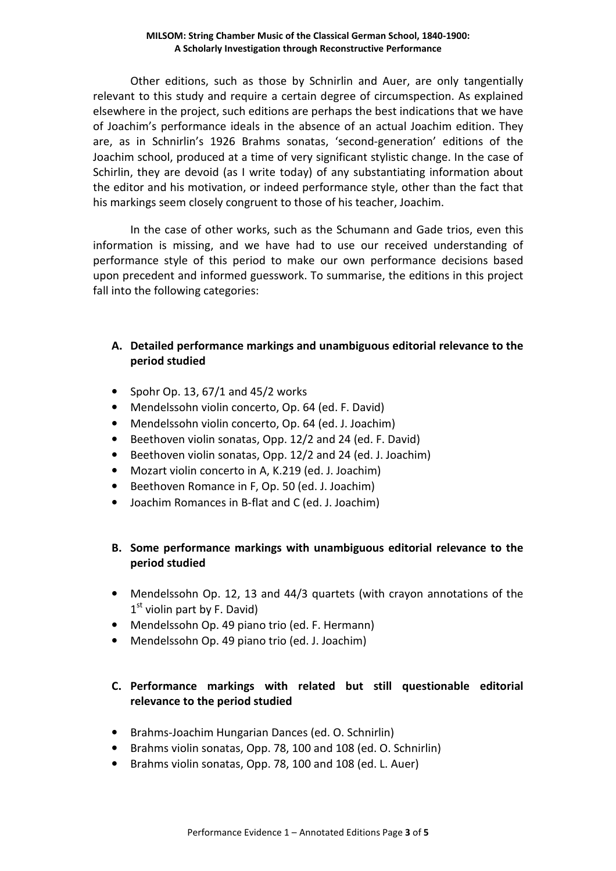### **MILSOM: String Chamber Music of the Classical German School, 1840-1900: A Scholarly Investigation through Reconstructive Performance**

 Other editions, such as those by Schnirlin and Auer, are only tangentially relevant to this study and require a certain degree of circumspection. As explained elsewhere in the project, such editions are perhaps the best indications that we have of Joachim's performance ideals in the absence of an actual Joachim edition. They are, as in Schnirlin's 1926 Brahms sonatas, 'second-generation' editions of the Joachim school, produced at a time of very significant stylistic change. In the case of Schirlin, they are devoid (as I write today) of any substantiating information about the editor and his motivation, or indeed performance style, other than the fact that his markings seem closely congruent to those of his teacher, Joachim.

 In the case of other works, such as the Schumann and Gade trios, even this information is missing, and we have had to use our received understanding of performance style of this period to make our own performance decisions based upon precedent and informed guesswork. To summarise, the editions in this project fall into the following categories:

### **A. Detailed performance markings and unambiguous editorial relevance to the period studied**

- Spohr Op. 13,  $67/1$  and  $45/2$  works
- Mendelssohn violin concerto, Op. 64 (ed. F. David)
- Mendelssohn violin concerto, Op. 64 (ed. J. Joachim)
- Beethoven violin sonatas, Opp. 12/2 and 24 (ed. F. David)
- Beethoven violin sonatas, Opp. 12/2 and 24 (ed. J. Joachim)
- Mozart violin concerto in A, K.219 (ed. J. Joachim)
- Beethoven Romance in F, Op. 50 (ed. J. Joachim)
- Joachim Romances in B-flat and C (ed. J. Joachim)

# **B. Some performance markings with unambiguous editorial relevance to the period studied**

- Mendelssohn Op. 12, 13 and 44/3 quartets (with crayon annotations of the  $1<sup>st</sup>$  violin part by F. David)
- Mendelssohn Op. 49 piano trio (ed. F. Hermann)
- Mendelssohn Op. 49 piano trio (ed. J. Joachim)

# **C. Performance markings with related but still questionable editorial relevance to the period studied**

- Brahms-Joachim Hungarian Dances (ed. O. Schnirlin)
- Brahms violin sonatas, Opp. 78, 100 and 108 (ed. O. Schnirlin)
- Brahms violin sonatas, Opp. 78, 100 and 108 (ed. L. Auer)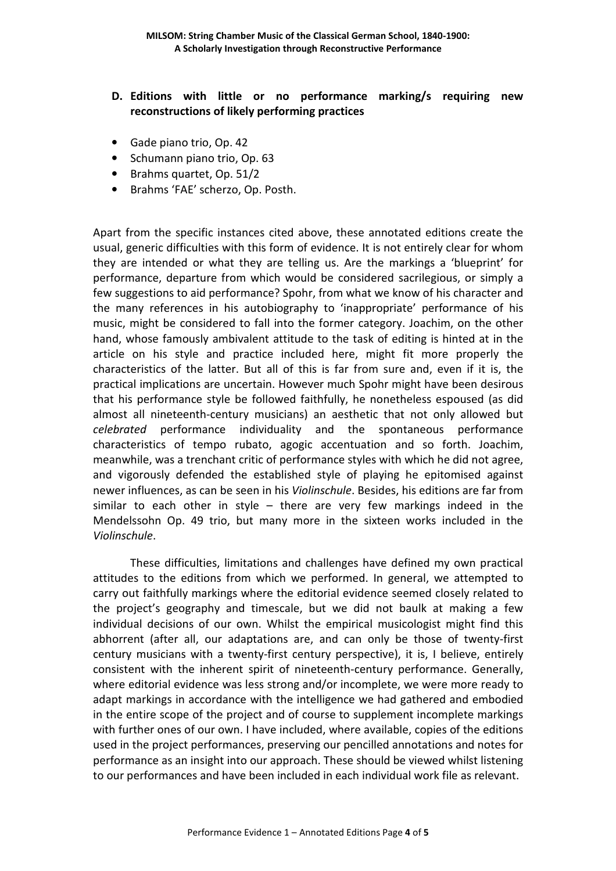- **D. Editions with little or no performance marking/s requiring new reconstructions of likely performing practices**
- Gade piano trio, Op. 42
- Schumann piano trio, Op. 63
- Brahms quartet, Op. 51/2
- Brahms 'FAE' scherzo, Op. Posth.

Apart from the specific instances cited above, these annotated editions create the usual, generic difficulties with this form of evidence. It is not entirely clear for whom they are intended or what they are telling us. Are the markings a 'blueprint' for performance, departure from which would be considered sacrilegious, or simply a few suggestions to aid performance? Spohr, from what we know of his character and the many references in his autobiography to 'inappropriate' performance of his music, might be considered to fall into the former category. Joachim, on the other hand, whose famously ambivalent attitude to the task of editing is hinted at in the article on his style and practice included here, might fit more properly the characteristics of the latter. But all of this is far from sure and, even if it is, the practical implications are uncertain. However much Spohr might have been desirous that his performance style be followed faithfully, he nonetheless espoused (as did almost all nineteenth-century musicians) an aesthetic that not only allowed but *celebrated* performance individuality and the spontaneous performance characteristics of tempo rubato, agogic accentuation and so forth. Joachim, meanwhile, was a trenchant critic of performance styles with which he did not agree, and vigorously defended the established style of playing he epitomised against newer influences, as can be seen in his *Violinschule*. Besides, his editions are far from similar to each other in style – there are very few markings indeed in the Mendelssohn Op. 49 trio, but many more in the sixteen works included in the *Violinschule*.

 These difficulties, limitations and challenges have defined my own practical attitudes to the editions from which we performed. In general, we attempted to carry out faithfully markings where the editorial evidence seemed closely related to the project's geography and timescale, but we did not baulk at making a few individual decisions of our own. Whilst the empirical musicologist might find this abhorrent (after all, our adaptations are, and can only be those of twenty-first century musicians with a twenty-first century perspective), it is, I believe, entirely consistent with the inherent spirit of nineteenth-century performance. Generally, where editorial evidence was less strong and/or incomplete, we were more ready to adapt markings in accordance with the intelligence we had gathered and embodied in the entire scope of the project and of course to supplement incomplete markings with further ones of our own. I have included, where available, copies of the editions used in the project performances, preserving our pencilled annotations and notes for performance as an insight into our approach. These should be viewed whilst listening to our performances and have been included in each individual work file as relevant.